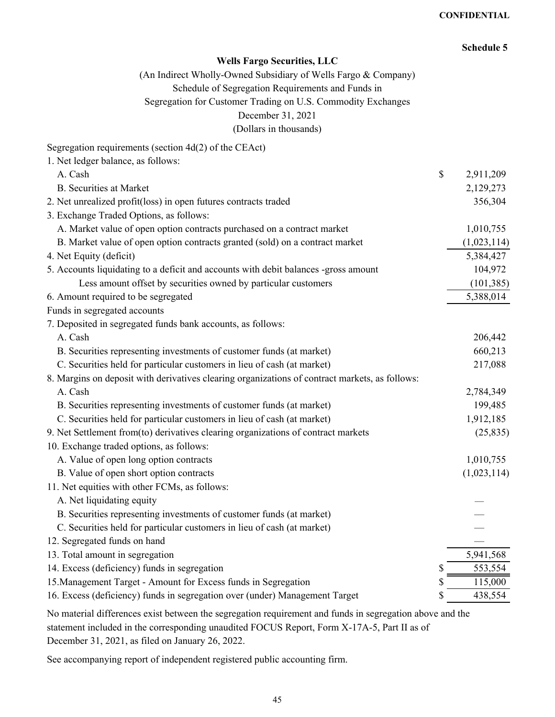|                                                                                                | <b>Schedule 5</b> |
|------------------------------------------------------------------------------------------------|-------------------|
| <b>Wells Fargo Securities, LLC</b>                                                             |                   |
| (An Indirect Wholly-Owned Subsidiary of Wells Fargo & Company)                                 |                   |
| Schedule of Segregation Requirements and Funds in                                              |                   |
| Segregation for Customer Trading on U.S. Commodity Exchanges                                   |                   |
| December 31, 2021                                                                              |                   |
| (Dollars in thousands)                                                                         |                   |
| Segregation requirements (section 4d(2) of the CEAct)                                          |                   |
| 1. Net ledger balance, as follows:                                                             |                   |
| A. Cash                                                                                        | \$<br>2,911,209   |
| <b>B.</b> Securities at Market                                                                 | 2,129,273         |
| 2. Net unrealized profit(loss) in open futures contracts traded                                | 356,304           |
| 3. Exchange Traded Options, as follows:                                                        |                   |
| A. Market value of open option contracts purchased on a contract market                        | 1,010,755         |
| B. Market value of open option contracts granted (sold) on a contract market                   | (1,023,114)       |
| 4. Net Equity (deficit)                                                                        | 5,384,427         |
| 5. Accounts liquidating to a deficit and accounts with debit balances -gross amount            | 104,972           |
| Less amount offset by securities owned by particular customers                                 | (101, 385)        |
| 6. Amount required to be segregated                                                            | 5,388,014         |
| Funds in segregated accounts                                                                   |                   |
| 7. Deposited in segregated funds bank accounts, as follows:                                    |                   |
| A. Cash                                                                                        | 206,442           |
| B. Securities representing investments of customer funds (at market)                           | 660,213           |
| C. Securities held for particular customers in lieu of cash (at market)                        | 217,088           |
| 8. Margins on deposit with derivatives clearing organizations of contract markets, as follows: |                   |
| A. Cash                                                                                        | 2,784,349         |
| B. Securities representing investments of customer funds (at market)                           | 199,485           |
| C. Securities held for particular customers in lieu of cash (at market)                        | 1,912,185         |
| 9. Net Settlement from(to) derivatives clearing organizations of contract markets              | (25, 835)         |
| 10. Exchange traded options, as follows:                                                       |                   |
| A. Value of open long option contracts                                                         | 1,010,755         |
| B. Value of open short option contracts                                                        | (1,023,114)       |
| 11. Net equities with other FCMs, as follows:                                                  |                   |
| A. Net liquidating equity                                                                      |                   |
| B. Securities representing investments of customer funds (at market)                           |                   |
| C. Securities held for particular customers in lieu of cash (at market)                        |                   |
| 12. Segregated funds on hand                                                                   |                   |
| 13. Total amount in segregation                                                                | 5,941,568         |
| 14. Excess (deficiency) funds in segregation                                                   | 553,554           |
| 15. Management Target - Amount for Excess funds in Segregation                                 | 115,000           |
| 16. Excess (deficiency) funds in segregation over (under) Management Target                    | \$<br>438,554     |

No material differences exist between the segregation requirement and funds in segregation above and the statement included in the corresponding unaudited FOCUS Report, Form X-17A-5, Part II as of December 31, 2021, as filed on January 26, 2022.

See accompanying report of independent registered public accounting firm.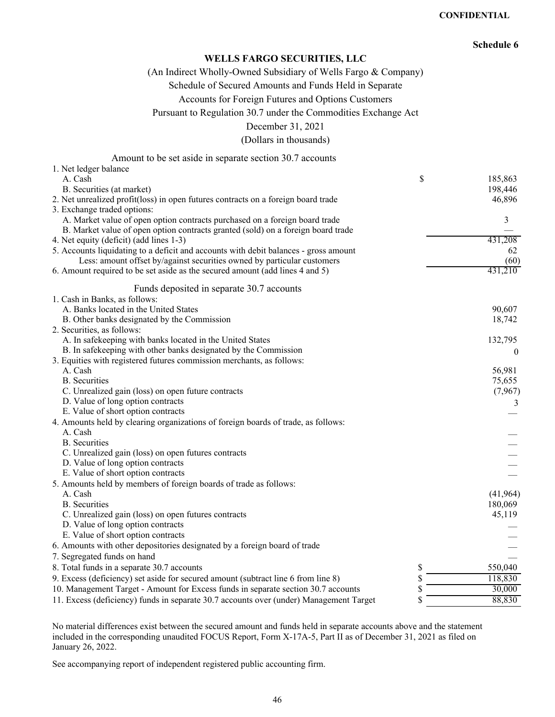#### **CONFIDENTIAL**

# **Schedule 6**

## **WELLS FARGO SECURITIES, LLC**

(An Indirect Wholly-Owned Subsidiary of Wells Fargo & Company)

Schedule of Secured Amounts and Funds Held in Separate

Accounts for Foreign Futures and Options Customers

Pursuant to Regulation 30.7 under the Commodities Exchange Act

December 31, 2021

(Dollars in thousands)

| Amount to be set aside in separate section 30.7 accounts                               |               |
|----------------------------------------------------------------------------------------|---------------|
| 1. Net ledger balance                                                                  |               |
| A. Cash                                                                                | \$<br>185,863 |
| B. Securities (at market)                                                              | 198,446       |
| 2. Net unrealized profit(loss) in open futures contracts on a foreign board trade      | 46,896        |
| 3. Exchange traded options:                                                            |               |
| A. Market value of open option contracts purchased on a foreign board trade            | 3             |
| B. Market value of open option contracts granted (sold) on a foreign board trade       |               |
| 4. Net equity (deficit) (add lines 1-3)                                                | 431,208       |
| 5. Accounts liquidating to a deficit and accounts with debit balances - gross amount   | 62            |
| Less: amount offset by/against securities owned by particular customers                | (60)          |
| 6. Amount required to be set aside as the secured amount (add lines 4 and 5)           | 431,210       |
| Funds deposited in separate 30.7 accounts                                              |               |
| 1. Cash in Banks, as follows:                                                          |               |
| A. Banks located in the United States                                                  | 90,607        |
| B. Other banks designated by the Commission                                            | 18,742        |
| 2. Securities, as follows:                                                             |               |
| A. In safekeeping with banks located in the United States                              | 132,795       |
| B. In safekeeping with other banks designated by the Commission                        | $\Omega$      |
| 3. Equities with registered futures commission merchants, as follows:                  |               |
| A. Cash                                                                                | 56,981        |
| <b>B.</b> Securities                                                                   | 75,655        |
| C. Unrealized gain (loss) on open future contracts                                     | (7,967)       |
| D. Value of long option contracts                                                      | 3             |
| E. Value of short option contracts                                                     |               |
| 4. Amounts held by clearing organizations of foreign boards of trade, as follows:      |               |
| A. Cash                                                                                |               |
| <b>B.</b> Securities                                                                   |               |
| C. Unrealized gain (loss) on open futures contracts                                    |               |
| D. Value of long option contracts                                                      |               |
| E. Value of short option contracts                                                     |               |
| 5. Amounts held by members of foreign boards of trade as follows:                      |               |
| A. Cash                                                                                | (41,964)      |
| <b>B.</b> Securities                                                                   | 180,069       |
| C. Unrealized gain (loss) on open futures contracts                                    | 45,119        |
| D. Value of long option contracts                                                      |               |
| E. Value of short option contracts                                                     |               |
| 6. Amounts with other depositories designated by a foreign board of trade              |               |
| 7. Segregated funds on hand                                                            |               |
| 8. Total funds in a separate 30.7 accounts                                             | \$<br>550,040 |
| 9. Excess (deficiency) set aside for secured amount (subtract line 6 from line 8)      | \$<br>118,830 |
| 10. Management Target - Amount for Excess funds in separate section 30.7 accounts      | \$<br>30,000  |
| 11. Excess (deficiency) funds in separate 30.7 accounts over (under) Management Target | \$<br>88,830  |

No material differences exist between the secured amount and funds held in separate accounts above and the statement included in the corresponding unaudited FOCUS Report, Form X-17A-5, Part II as of December 31, 2021 as filed on January 26, 2022.

See accompanying report of independent registered public accounting firm.